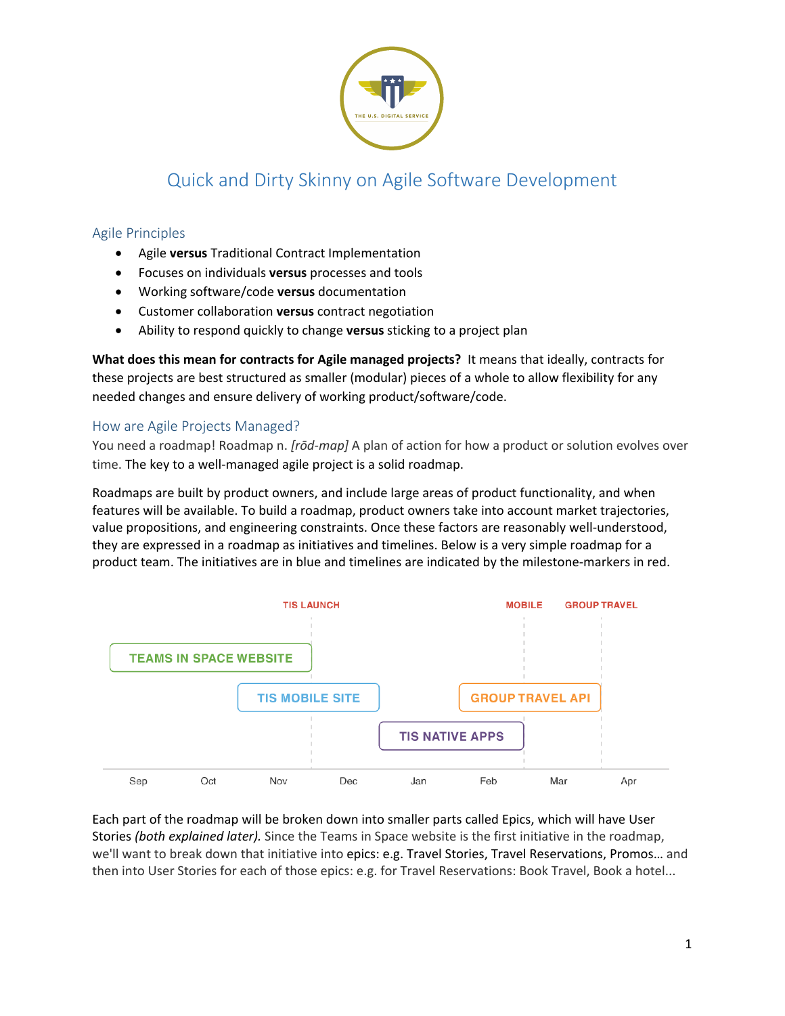

# Quick and Dirty Skinny on Agile Software Development

# Agile Principles

- Agile **versus** Traditional Contract Implementation
- Focuses on individuals **versus** processes and tools
- Working software/code **versus** documentation
- Customer collaboration **versus** contract negotiation
- Ability to respond quickly to change **versus** sticking to a project plan

**What does this mean for contracts for Agile managed projects?** It means that ideally, contracts for these projects are best structured as smaller (modular) pieces of a whole to allow flexibility for any needed changes and ensure delivery of working product/software/code.

# How are Agile Projects Managed?

You need a roadmap! Roadmap n. *[rōd-map]* A plan of action for how a product or solution evolves over time. The key to a well-managed agile project is a solid roadmap.

Roadmaps are built by product owners, and include large areas of product functionality, and when features will be available. To build a roadmap, product owners take into account market trajectories, value propositions, and engineering constraints. Once these factors are reasonably well-understood, they are expressed in a roadmap as initiatives and timelines. Below is a very simple roadmap for a product team. The initiatives are in blue and timelines are indicated by the milestone-markers in red.



Each part of the roadmap will be broken down into smaller parts called Epics, which will have User Stories *(both explained later).* Since the Teams in Space website is the first initiative in the roadmap, we'll want to break down that initiative into epics: e.g. Travel Stories, Travel Reservations, Promos… and then into User Stories for each of those epics: e.g. for Travel Reservations: Book Travel, Book a hotel...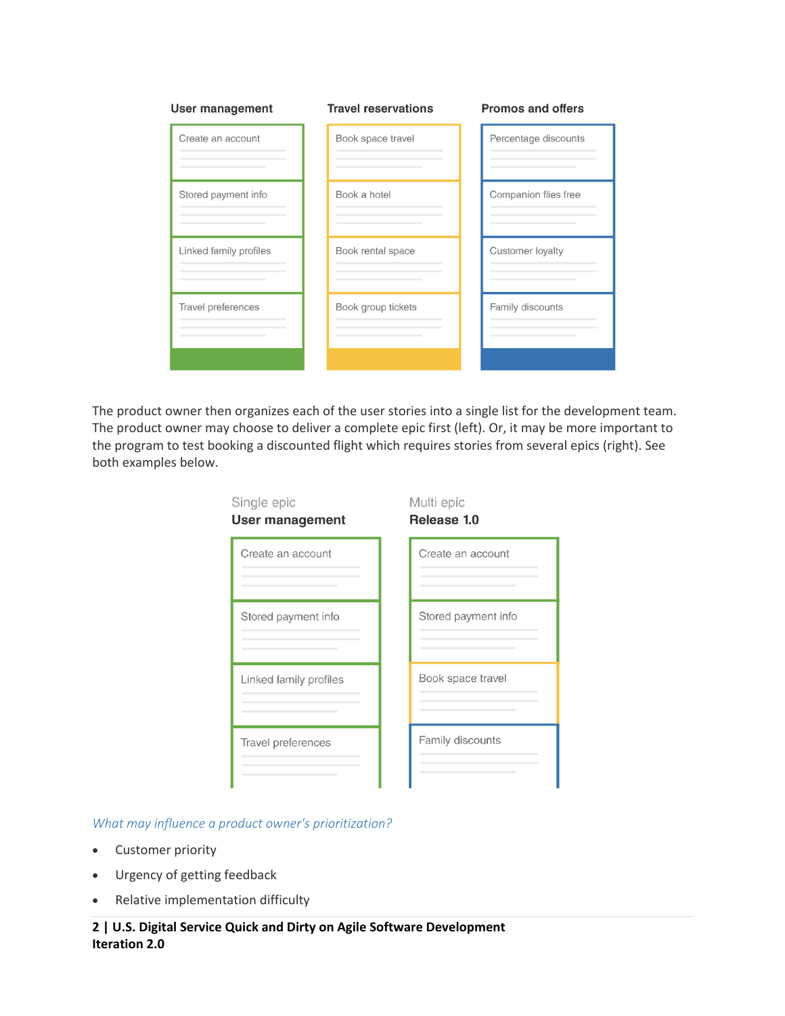| <b>User management</b> | <b>Travel reservations</b> | <b>Promos and offers</b> |
|------------------------|----------------------------|--------------------------|
| Create an account      | Book space travel          | Percentage discounts     |
| Stored payment info    | Book a hotel               | Companion flies free     |
| Linked family profiles | Book rental space          | Customer loyalty         |
| Travel preferences     | Book group tickets         | Family discounts         |
|                        |                            |                          |

The product owner then organizes each of the user stories into a single list for the development team. The product owner may choose to deliver a complete epic first (left). Or, it may be more important to the program to test booking a discounted flight which requires stories from several epics (right). See both examples below.

| Single epic<br><b>User management</b> | Multi epic<br>Release 1.0 |  |
|---------------------------------------|---------------------------|--|
| Create an account                     | Create an account         |  |
| Stored payment info                   | Stored payment info       |  |
| Linked family profiles                | Book space travel         |  |
| Travel preferences                    | Family discounts          |  |

*What may influence a product owner's prioritization?*

- Customer priority
- Urgency of getting feedback
- Relative implementation difficulty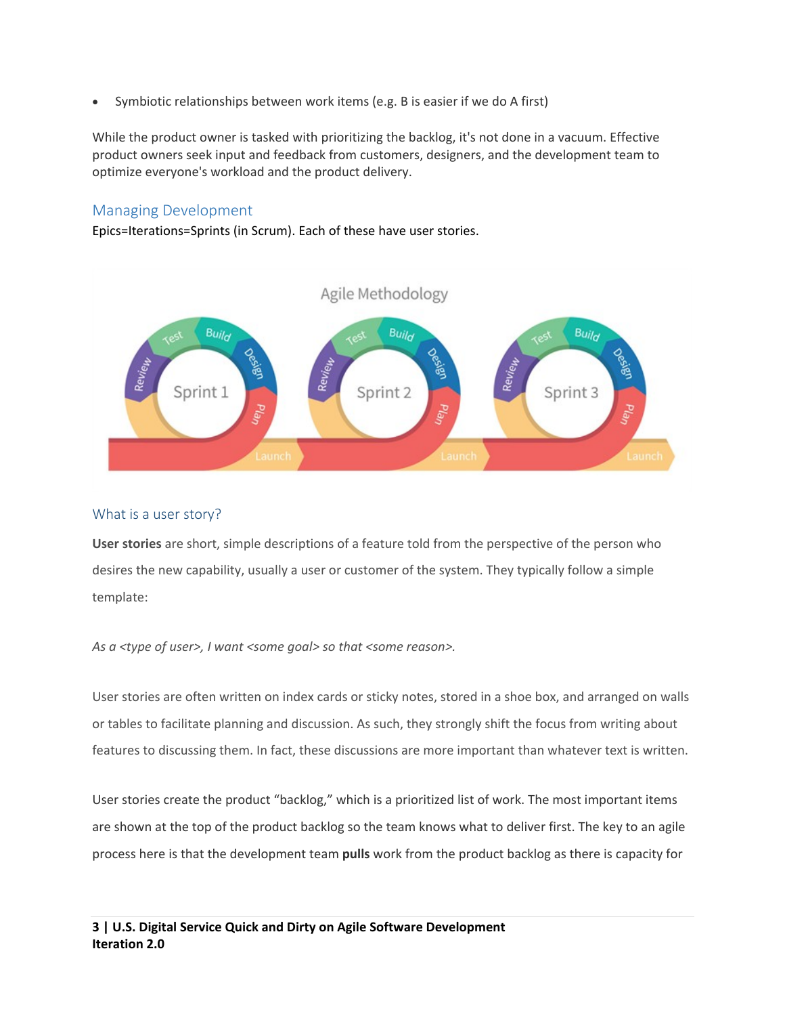• Symbiotic relationships between work items (e.g. B is easier if we do A first)

While the product owner is tasked with prioritizing the backlog, it's not done in a vacuum. Effective product owners seek input and feedback from customers, designers, and the development team to optimize everyone's workload and the product delivery.

# Managing Development

Epics=Iterations=Sprints (in Scrum). Each of these have user stories.



## What is a user story?

**User stories** are short, simple descriptions of a feature told from the perspective of the person who desires the new capability, usually a user or customer of the system. They typically follow a simple template:

*As a <type of user>, I want <some goal> so that <some reason>.*

User stories are often written on index cards or sticky notes, stored in a shoe box, and arranged on walls or tables to facilitate planning and discussion. As such, they strongly shift the focus from writing about features to discussing them. In fact, these discussions are more important than whatever text is written.

User stories create the product "backlog," which is a prioritized list of work. The most important items are shown at the top of the product backlog so the team knows what to deliver first. The key to an agile process here is that the development team **pulls** work from the product backlog as there is capacity for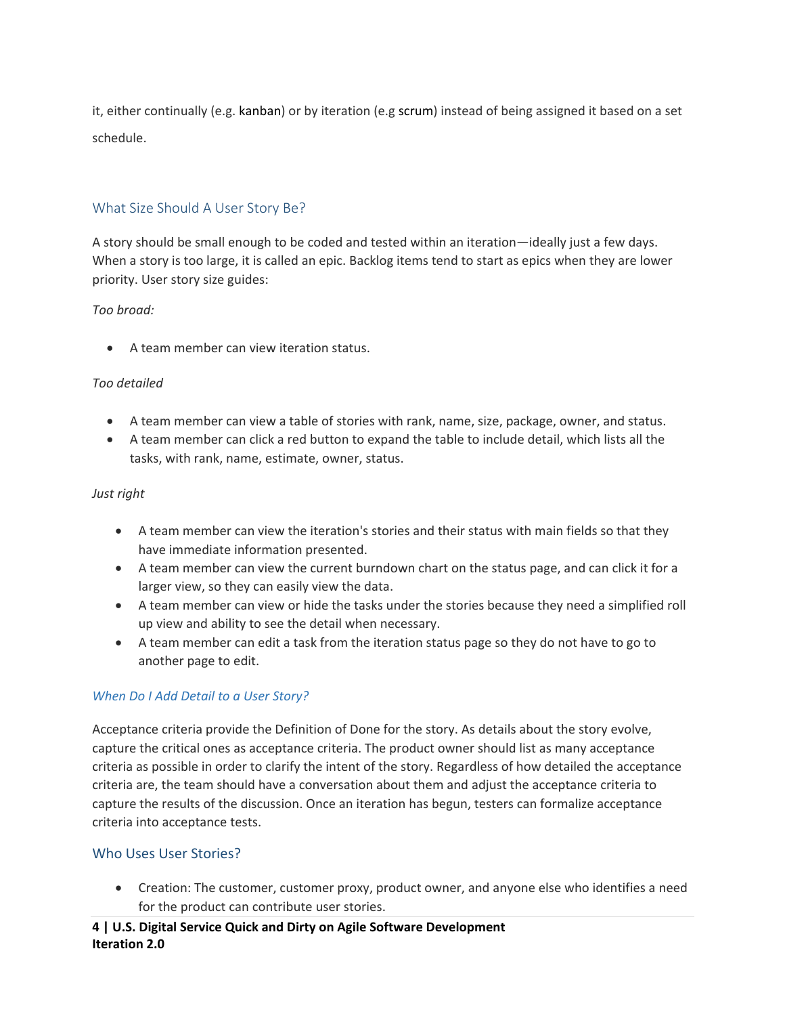it, either continually (e.g. kanban) or by iteration (e.g scrum) instead of being assigned it based on a set schedule.

# What Size Should A User Story Be?

A story should be small enough to be coded and tested within an iteration—ideally just a few days. When a story is too large, it is called an epic. Backlog items tend to start as epics when they are lower priority. User story size guides:

#### *Too broad:*

• A team member can view iteration status.

#### *Too detailed*

- A team member can view a table of stories with rank, name, size, package, owner, and status.
- A team member can click a red button to expand the table to include detail, which lists all the tasks, with rank, name, estimate, owner, status.

#### *Just right*

- A team member can view the iteration's stories and their status with main fields so that they have immediate information presented.
- A team member can view the current burndown chart on the status page, and can click it for a larger view, so they can easily view the data.
- A team member can view or hide the tasks under the stories because they need a simplified roll up view and ability to see the detail when necessary.
- A team member can edit a task from the iteration status page so they do not have to go to another page to edit.

## *When Do I Add Detail to a User Story?*

Acceptance criteria provide the Definition of Done for the story. As details about the story evolve, capture the critical ones as acceptance criteria. The product owner should list as many acceptance criteria as possible in order to clarify the intent of the story. Regardless of how detailed the acceptance criteria are, the team should have a conversation about them and adjust the acceptance criteria to capture the results of the discussion. Once an iteration has begun, testers can formalize acceptance criteria into acceptance tests.

## Who Uses User Stories?

• Creation: The customer, customer proxy, product owner, and anyone else who identifies a need for the product can contribute user stories.